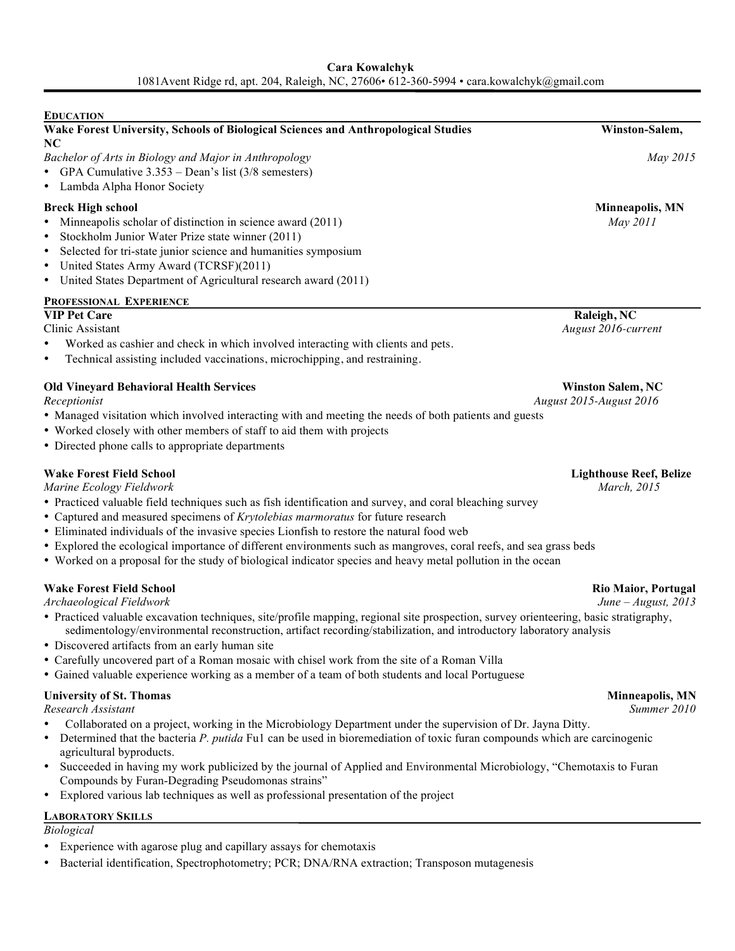I

#### **EDUCATION**

| Wake Forest University, Schools of Biological Sciences and Anthropological Studies                                                                                                                                                                                                                                                                                                                                                                                                                                                                                                                                       | Winston-Salem,                                      |
|--------------------------------------------------------------------------------------------------------------------------------------------------------------------------------------------------------------------------------------------------------------------------------------------------------------------------------------------------------------------------------------------------------------------------------------------------------------------------------------------------------------------------------------------------------------------------------------------------------------------------|-----------------------------------------------------|
| NC<br>Bachelor of Arts in Biology and Major in Anthropology<br>• GPA Cumulative $3.353 - Dean's list (3/8 semesters)$<br>• Lambda Alpha Honor Society                                                                                                                                                                                                                                                                                                                                                                                                                                                                    | May 2015                                            |
| <b>Breck High school</b><br>Minneapolis scholar of distinction in science award (2011)<br>Stockholm Junior Water Prize state winner (2011)<br>Selected for tri-state junior science and humanities symposium<br>United States Army Award (TCRSF)(2011)<br>٠<br>United States Department of Agricultural research award (2011)<br>$\bullet$                                                                                                                                                                                                                                                                               | Minneapolis, MN<br>May 2011                         |
| PROFESSIONAL EXPERIENCE                                                                                                                                                                                                                                                                                                                                                                                                                                                                                                                                                                                                  |                                                     |
| <b>VIP Pet Care</b><br>Clinic Assistant<br>Worked as cashier and check in which involved interacting with clients and pets.<br>Technical assisting included vaccinations, microchipping, and restraining.<br>٠                                                                                                                                                                                                                                                                                                                                                                                                           | Raleigh, NC<br>August 2016-current                  |
| <b>Old Vineyard Behavioral Health Services</b><br>Receptionist<br>• Managed visitation which involved interacting with and meeting the needs of both patients and guests<br>• Worked closely with other members of staff to aid them with projects<br>• Directed phone calls to appropriate departments                                                                                                                                                                                                                                                                                                                  | <b>Winston Salem, NC</b><br>August 2015-August 2016 |
| <b>Wake Forest Field School</b><br>Marine Ecology Fieldwork<br>• Practiced valuable field techniques such as fish identification and survey, and coral bleaching survey<br>• Captured and measured specimens of Krytolebias marmoratus for future research<br>• Eliminated individuals of the invasive species Lionfish to restore the natural food web<br>• Explored the ecological importance of different environments such as mangroves, coral reefs, and sea grass beds<br>• Worked on a proposal for the study of biological indicator species and heavy metal pollution in the ocean                              | <b>Lighthouse Reef, Belize</b><br>March, 2015       |
| <b>Wake Forest Field School</b><br>Archaeological Fieldwork<br>• Practiced valuable excavation techniques, site/profile mapping, regional site prospection, survey orienteering, basic stratigraphy,<br>sedimentology/environmental reconstruction, artifact recording/stabilization, and introductory laboratory analysis<br>• Discovered artifacts from an early human site<br>Carefully uncovered part of a Roman mosaic with chisel work from the site of a Roman Villa<br>• Gained valuable experience working as a member of a team of both students and local Portuguese                                          | <b>Rio Maior, Portugal</b><br>June $-August, 2013$  |
| <b>University of St. Thomas</b><br>Research Assistant<br>Collaborated on a project, working in the Microbiology Department under the supervision of Dr. Jayna Ditty.<br>Determined that the bacteria P. putida Fu1 can be used in bioremediation of toxic furan compounds which are carcinogenic<br>$\bullet$<br>agricultural byproducts.<br>Succeeded in having my work publicized by the journal of Applied and Environmental Microbiology, "Chemotaxis to Furan<br>٠<br>Compounds by Furan-Degrading Pseudomonas strains"<br>Explored various lab techniques as well as professional presentation of the project<br>٠ | Minneapolis, MN<br>Summer 2010                      |
| <b>LABORATORY SKILLS</b><br>Biological<br>Experience with agarose plug and capillary assays for chemotaxis                                                                                                                                                                                                                                                                                                                                                                                                                                                                                                               |                                                     |

• Bacterial identification, Spectrophotometry; PCR; DNA/RNA extraction; Transposon mutagenesis